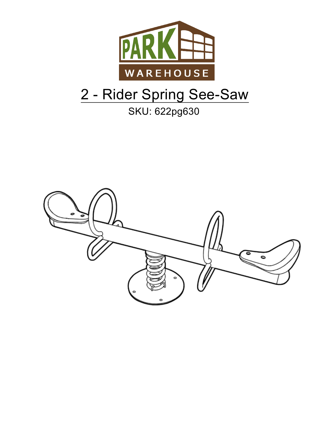

# 2 - Rider Spring See-Saw

# **SKU: 622pg630**

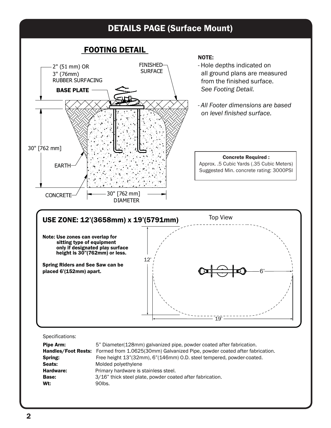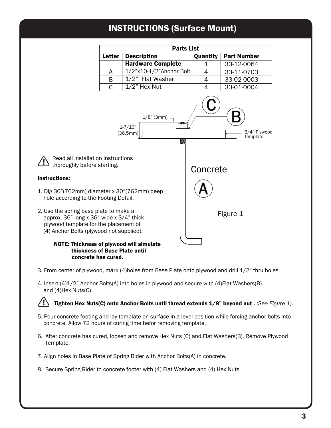## INSTRUCTIONS (Surface Mount)

| <b>Parts List</b> |                            |                 |                    |  |  |
|-------------------|----------------------------|-----------------|--------------------|--|--|
| <b>Letter</b>     | <b>Description</b>         | <b>Quantity</b> | <b>Part Number</b> |  |  |
|                   | <b>Hardware Complete</b>   |                 | 33-12-0064         |  |  |
| A                 | $1/2$ "x10-1/2"Anchor Bolt |                 | 33-11-0703         |  |  |
| B                 | 1/2" Flat Washer           | 4               | 33-02-0003         |  |  |
| C                 | $1/2$ " Hex Nut            | 4               | 33-01-0004         |  |  |



#### NOTE: Thickness of plywood will simulate thickness of Base Plate until concrete has cured.

Instructions:

- 3. From center of plywood, mark (4)holes from Base Plate onto plywood and drill 1/2" thru holes.
- 4. Insert (4)1/2" Anchor Bolts(A) into holes in plywood and secure with (4)Flat Washers(B) and (4)Hex Nuts(C).

Tighten Hex Nuts(C) onto Anchor Bolts until thread extends 1/8" beyond nut . *(See Figure 1)*.

- 5. Pour concrete footing and lay template on surface in a level position while forcing anchor bolts into concrete. Allow 72 hours of curing time befor removing template.
- 6. After concrete has cured, loosen and remove Hex Nuts (C) and Flat Washers(B). Remove Plywood Template.
- 7. Align holes in Base Plate of Spring Rider with Anchor Bolts(A) in concrete.
- 8. Secure Spring Rider to concrete footer with (4) Flat Washers and (4) Hex Nuts.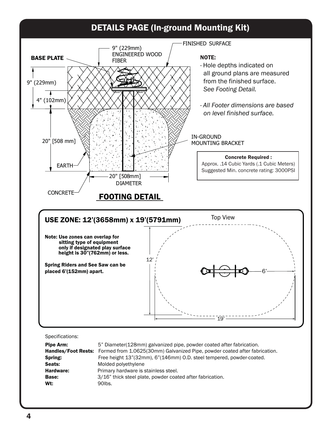